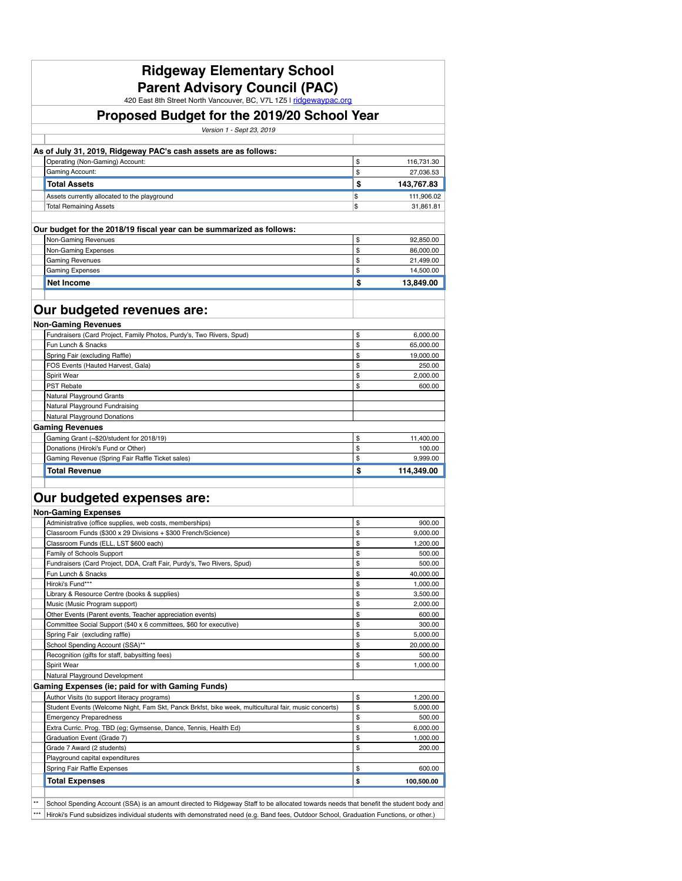| <b>Ridgeway Elementary School</b>                                                                                 |          |                    |
|-------------------------------------------------------------------------------------------------------------------|----------|--------------------|
| <b>Parent Advisory Council (PAC)</b>                                                                              |          |                    |
| 420 East 8th Street North Vancouver, BC, V7L 1Z5 I ridgewaypac.org<br>Proposed Budget for the 2019/20 School Year |          |                    |
| Version 1 - Sept 23, 2019                                                                                         |          |                    |
| As of July 31, 2019, Ridgeway PAC's cash assets are as follows:                                                   |          |                    |
| Operating (Non-Gaming) Account:                                                                                   | \$       | 116,731.30         |
| <b>Gaming Account:</b>                                                                                            | \$       | 27,036.53          |
| <b>Total Assets</b>                                                                                               | \$       | 143,767.83         |
| Assets currently allocated to the playground                                                                      | \$       | 111,906.02         |
| <b>Total Remaining Assets</b>                                                                                     | \$       | 31,861.81          |
| Our budget for the 2018/19 fiscal year can be summarized as follows:                                              |          |                    |
| Non-Gaming Revenues                                                                                               | \$       | 92,850.00          |
| Non-Gaming Expenses                                                                                               | \$       | 86,000.00          |
| <b>Gaming Revenues</b>                                                                                            | \$       | 21,499.00          |
| <b>Gaming Expenses</b>                                                                                            | \$       | 14,500.00          |
| <b>Net Income</b>                                                                                                 | \$       | 13,849.00          |
|                                                                                                                   |          |                    |
| Our budgeted revenues are:                                                                                        |          |                    |
|                                                                                                                   |          |                    |
| <b>Non-Gaming Revenues</b>                                                                                        |          |                    |
| Fundraisers (Card Project, Family Photos, Purdy's, Two Rivers, Spud)                                              | \$       | 6,000.00           |
| Fun Lunch & Snacks                                                                                                | \$       | 65,000.00          |
| Spring Fair (excluding Raffle)                                                                                    | \$       | 19,000.00          |
| FOS Events (Hauted Harvest, Gala)                                                                                 | \$       | 250.00             |
| Spirit Wear                                                                                                       | \$<br>\$ | 2,000.00<br>600.00 |
| <b>PST Rebate</b><br>Natural Playground Grants                                                                    |          |                    |
| Natural Playground Fundraising                                                                                    |          |                    |
| <b>Natural Playground Donations</b>                                                                               |          |                    |
| <b>Gaming Revenues</b>                                                                                            |          |                    |
| Gaming Grant (~\$20/student for 2018/19)                                                                          | \$       | 11,400.00          |
| Donations (Hiroki's Fund or Other)                                                                                | \$       | 100.00             |
| Gaming Revenue (Spring Fair Raffle Ticket sales)                                                                  | \$       | 9,999.00           |
| <b>Total Revenue</b>                                                                                              | \$       | 114,349.00         |
|                                                                                                                   |          |                    |
| Our budgeted expenses are:                                                                                        |          |                    |
| <b>Non-Gaming Expenses</b>                                                                                        |          |                    |
| Administrative (office supplies, web costs, memberships)                                                          | \$       | 900.00             |
| Classroom Funds (\$300 x 29 Divisions + \$300 French/Science)                                                     | \$       | 9,000.00           |
| Classroom Funds (ELL, LST \$600 each)                                                                             | \$       | 1,200.00           |
| Family of Schools Support                                                                                         | \$       | 500.00             |
| Fundraisers (Card Project, DDA, Craft Fair, Purdy's, Two Rivers, Spud)                                            | \$       | 500.00             |
| Fun Lunch & Snacks                                                                                                | \$       | 40,000.00          |
| Hiroki's Fund***                                                                                                  | \$       | 1,000.00           |
| Library & Resource Centre (books & supplies)                                                                      | \$       | 3,500.00           |
| Music (Music Program support)                                                                                     | \$       | 2,000.00           |
| Other Events (Parent events, Teacher appreciation events)                                                         | \$       | 600.00             |
| Committee Social Support (\$40 x 6 committees, \$60 for executive)                                                | \$       | 300.00             |
| Spring Fair (excluding raffle)                                                                                    | \$       | 5,000.00           |
| School Spending Account (SSA)**                                                                                   | \$       | 20,000.00          |

|                                                                                                                                              | Recognition (gifts for staff, babysitting fees)                                                                                       |   | 500.00     |  |  |  |
|----------------------------------------------------------------------------------------------------------------------------------------------|---------------------------------------------------------------------------------------------------------------------------------------|---|------------|--|--|--|
|                                                                                                                                              | <b>Spirit Wear</b>                                                                                                                    |   | ,000.00    |  |  |  |
|                                                                                                                                              | Natural Playground Development                                                                                                        |   |            |  |  |  |
|                                                                                                                                              | <b>Gaming Expenses (ie; paid for with Gaming Funds)</b>                                                                               |   |            |  |  |  |
|                                                                                                                                              | Author Visits (to support literacy programs)                                                                                          |   | ,200.00    |  |  |  |
|                                                                                                                                              | Student Events (Welcome Night, Fam Skt, Panck Brkfst, bike week, multicultural fair, music concerts)                                  | S | 5,000.00   |  |  |  |
|                                                                                                                                              | <b>Emergency Preparedness</b>                                                                                                         |   | 500.00     |  |  |  |
|                                                                                                                                              | Extra Curric. Prog. TBD (eg; Gymsense, Dance, Tennis, Health Ed)                                                                      |   | 6,000.00   |  |  |  |
|                                                                                                                                              | Graduation Event (Grade 7)                                                                                                            |   | 1,000.00   |  |  |  |
|                                                                                                                                              | Grade 7 Award (2 students)                                                                                                            |   | 200.00     |  |  |  |
|                                                                                                                                              | Playground capital expenditures                                                                                                       |   |            |  |  |  |
|                                                                                                                                              | Spring Fair Raffle Expenses                                                                                                           |   | 600.00     |  |  |  |
|                                                                                                                                              | <b>Total Expenses</b>                                                                                                                 |   | 100,500.00 |  |  |  |
|                                                                                                                                              |                                                                                                                                       |   |            |  |  |  |
| $***$                                                                                                                                        | School Spending Account (SSA) is an amount directed to Ridgeway Staff to be allocated towards needs that benefit the student body and |   |            |  |  |  |
| Hiroki's Fund subsidizes individual students with demonstrated need (e.g. Band fees, Outdoor School, Graduation Functions, or other.)<br>*** |                                                                                                                                       |   |            |  |  |  |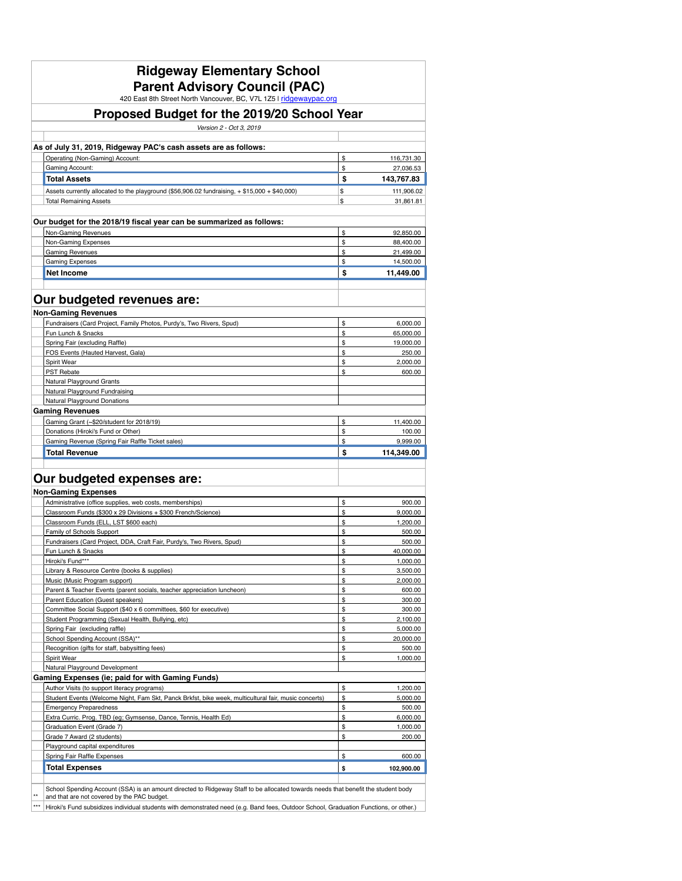| <b>Ridgeway Elementary School</b><br><b>Parent Advisory Council (PAC)</b><br>420 East 8th Street North Vancouver, BC, V7L 1Z5 I ridgewaypac.org |                   |                         |
|-------------------------------------------------------------------------------------------------------------------------------------------------|-------------------|-------------------------|
| <b>Proposed Budget for the 2019/20 School Year</b>                                                                                              |                   |                         |
| Version 2 - Oct 3, 2019                                                                                                                         |                   |                         |
| As of July 31, 2019, Ridgeway PAC's cash assets are as follows:                                                                                 |                   |                         |
| Operating (Non-Gaming) Account:                                                                                                                 | \$                | 116,731.30              |
| <b>Gaming Account:</b>                                                                                                                          | \$                | 27,036.53               |
| <b>Total Assets</b>                                                                                                                             | $\boldsymbol{\$}$ | 143,767.83              |
| Assets currently allocated to the playground (\$56,906.02 fundraising, + \$15,000 + \$40,000)<br><b>Total Remaining Assets</b>                  | \$<br>\$          | 111,906.02<br>31,861.81 |
| Our budget for the 2018/19 fiscal year can be summarized as follows:                                                                            |                   |                         |
| Non-Gaming Revenues                                                                                                                             | \$                | 92,850.00               |
| Non-Gaming Expenses                                                                                                                             | \$                | 88,400.00               |
| <b>Gaming Revenues</b>                                                                                                                          | \$                | 21,499.00               |
| <b>Gaming Expenses</b><br><b>Net Income</b>                                                                                                     | \$<br>\$          | 14,500.00<br>11,449.00  |
| Our budgeted revenues are:                                                                                                                      |                   |                         |
| <b>Non-Gaming Revenues</b>                                                                                                                      |                   |                         |
| Fundraisers (Card Project, Family Photos, Purdy's, Two Rivers, Spud)                                                                            | \$                | 6,000.00                |
| Fun Lunch & Snacks                                                                                                                              | \$                | 65,000.00               |
| Spring Fair (excluding Raffle)                                                                                                                  | \$                | 19,000.00               |
| FOS Events (Hauted Harvest, Gala)                                                                                                               | \$                | 250.00                  |
| <b>Spirit Wear</b>                                                                                                                              | \$                | 2,000.00                |
| PST Rebate<br>Natural Playground Grants                                                                                                         | \$                | 600.00                  |
| Natural Playground Fundraising                                                                                                                  |                   |                         |
| Natural Playground Donations                                                                                                                    |                   |                         |
| <b>Gaming Revenues</b>                                                                                                                          |                   |                         |
| Gaming Grant (~\$20/student for 2018/19)                                                                                                        | \$                | 11,400.00               |
| Donations (Hiroki's Fund or Other)                                                                                                              | \$                | 100.00                  |
| Gaming Revenue (Spring Fair Raffle Ticket sales)                                                                                                | \$                | 9,999.00                |
| <b>Total Revenue</b>                                                                                                                            | \$                | 114,349.00              |
| Our budgeted expenses are:                                                                                                                      |                   |                         |
| <b>Non-Gaming Expenses</b>                                                                                                                      |                   |                         |
| Administrative (office supplies, web costs, memberships)                                                                                        | \$                | 900.00                  |
| Classroom Funds (\$300 x 29 Divisions + \$300 French/Science)                                                                                   | \$                | 9,000.00                |
| Classroom Funds (ELL, LST \$600 each)<br>Family of Schools Support                                                                              | \$<br>\$          | 1,200.00<br>500.00      |
| Fundraisers (Card Project, DDA, Craft Fair, Purdy's, Two Rivers, Spud)                                                                          | \$                | 500.00                  |
| Fun Lunch & Snacks                                                                                                                              | \$                | 40,000.00               |
| Hiroki's Fund***                                                                                                                                | \$                | 1,000.00                |
| Library & Resource Centre (books & supplies)                                                                                                    | \$                | 3,500.00                |
| Music (Music Program support)                                                                                                                   | \$                | 2,000.00                |
| Parent & Teacher Events (parent socials, teacher appreciation luncheon)                                                                         | \$                | 600.00                  |
| Parent Education (Guest speakers)<br>Committee Social Support (\$40 x 6 committees, \$60 for executive)                                         | \$<br>\$          | 300.00<br>300.00        |
| Student Programming (Sexual Health, Bullying, etc)                                                                                              | \$                | 2,100.00                |
| Spring Fair (excluding raffle)                                                                                                                  | \$                | 5,000.00                |
| School Spending Account (SSA)**                                                                                                                 | \$                | 20,000.00               |
| Recognition (gifts for staff, babysitting fees)                                                                                                 | \$                | 500.00                  |
| Spirit Wear                                                                                                                                     | \$                | 1,000.00                |
| Natural Playground Development<br><b>Gaming Expenses (ie; paid for with Gaming Funds)</b>                                                       |                   |                         |
| Author Visits (to support literacy programs)                                                                                                    | \$                | 1,200.00                |
| Student Events (Welcome Night, Fam Skt, Panck Brkfst, bike week, multicultural fair, music concerts)                                            | \$                | 5,000.00                |
| <b>Emergency Preparedness</b>                                                                                                                   | \$                | 500.00                  |
| Extra Curric. Prog. TBD (eg; Gymsense, Dance, Tennis, Health Ed)                                                                                | \$                | 6,000.00                |
| Graduation Event (Grade 7)                                                                                                                      | \$                | 1,000.00                |
| Grade 7 Award (2 students)                                                                                                                      | \$                | 200.00                  |
| Playground capital expenditures                                                                                                                 |                   |                         |
| Spring Fair Raffle Expenses                                                                                                                     | \$                | 600.00                  |
| <b>Total Expenses</b>                                                                                                                           | \$                | 102,900.00              |
| School Spending Account (SSA) is an amount directed to Ridgeway Staff to be allocated towards needs that benefit the student body               |                   |                         |
| $^{\star\star}$<br>and that are not covered by the PAC budget.                                                                                  |                   |                         |
| $***$<br>Hiroki's Fund subsidizes individual students with demonstrated need (e.g. Band fees, Outdoor School, Graduation Functions, or other.)  |                   |                         |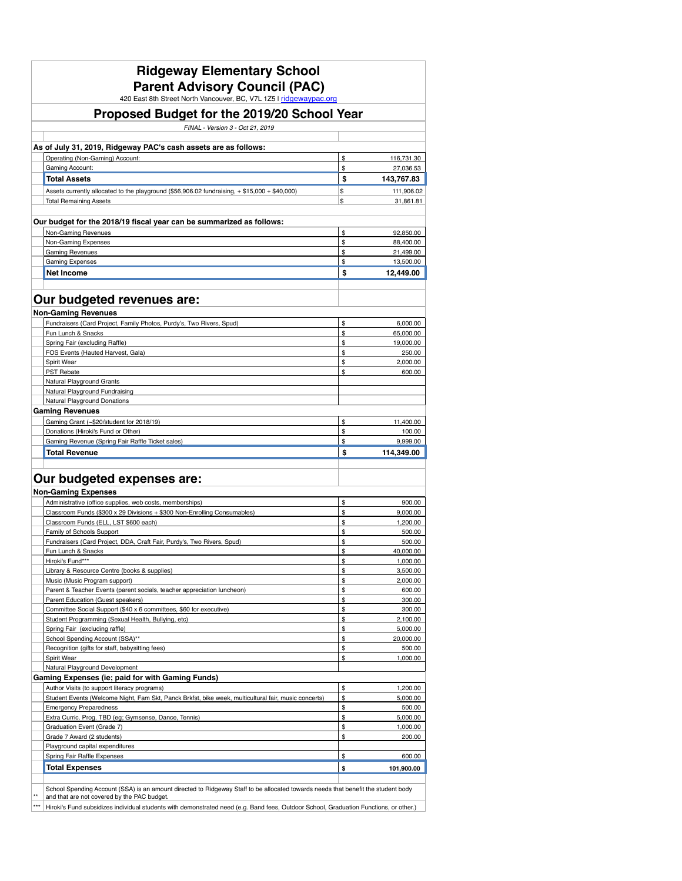| <b>Ridgeway Elementary School</b><br><b>Parent Advisory Council (PAC)</b><br>420 East 8th Street North Vancouver, BC, V7L 1Z5 I ridgewaypac.org                                  |          |                        |
|----------------------------------------------------------------------------------------------------------------------------------------------------------------------------------|----------|------------------------|
| Proposed Budget for the 2019/20 School Year                                                                                                                                      |          |                        |
| FINAL - Version 3 - Oct 21, 2019                                                                                                                                                 |          |                        |
| As of July 31, 2019, Ridgeway PAC's cash assets are as follows:                                                                                                                  |          |                        |
| Operating (Non-Gaming) Account:                                                                                                                                                  | \$       | 116,731.30             |
| <b>Gaming Account:</b>                                                                                                                                                           | \$       | 27,036.53              |
| <b>Total Assets</b>                                                                                                                                                              | \$       | 143,767.83             |
| Assets currently allocated to the playground (\$56,906.02 fundraising, + \$15,000 + \$40,000)                                                                                    | \$       | 111,906.02             |
| <b>Total Remaining Assets</b>                                                                                                                                                    | \$       | 31,861.81              |
| Our budget for the 2018/19 fiscal year can be summarized as follows:                                                                                                             |          |                        |
| Non-Gaming Revenues                                                                                                                                                              | \$       | 92,850.00              |
| Non-Gaming Expenses                                                                                                                                                              | \$       | 88,400.00              |
| <b>Gaming Revenues</b><br><b>Gaming Expenses</b>                                                                                                                                 | \$<br>\$ | 21,499.00<br>13,500.00 |
| <b>Net Income</b>                                                                                                                                                                | \$       | 12,449.00              |
|                                                                                                                                                                                  |          |                        |
| Our budgeted revenues are:                                                                                                                                                       |          |                        |
| <b>Non-Gaming Revenues</b>                                                                                                                                                       |          |                        |
| Fundraisers (Card Project, Family Photos, Purdy's, Two Rivers, Spud)                                                                                                             | \$       | 6,000.00               |
| Fun Lunch & Snacks                                                                                                                                                               | \$       | 65,000.00              |
| Spring Fair (excluding Raffle)                                                                                                                                                   | \$       | 19,000.00              |
| FOS Events (Hauted Harvest, Gala)                                                                                                                                                | \$       | 250.00                 |
| <b>Spirit Wear</b>                                                                                                                                                               | \$       | 2.000.00               |
| <b>PST Rebate</b><br><b>Natural Playground Grants</b>                                                                                                                            | \$       | 600.00                 |
| Natural Playground Fundraising                                                                                                                                                   |          |                        |
| Natural Playground Donations                                                                                                                                                     |          |                        |
| <b>Gaming Revenues</b>                                                                                                                                                           |          |                        |
| Gaming Grant (~\$20/student for 2018/19)                                                                                                                                         | \$       | 11,400.00              |
| Donations (Hiroki's Fund or Other)                                                                                                                                               | \$       | 100.00                 |
| Gaming Revenue (Spring Fair Raffle Ticket sales)                                                                                                                                 | \$       | 9,999.00               |
| <b>Total Revenue</b>                                                                                                                                                             | \$       | 114,349.00             |
| Our budgeted expenses are:                                                                                                                                                       |          |                        |
| <b>Non-Gaming Expenses</b>                                                                                                                                                       |          |                        |
| Administrative (office supplies, web costs, memberships)                                                                                                                         | \$       | 900.00                 |
| Classroom Funds (\$300 x 29 Divisions + \$300 Non-Enrolling Consumables)                                                                                                         | \$       | 9,000.00               |
| Classroom Funds (ELL, LST \$600 each)                                                                                                                                            | \$       | 1,200.00               |
| Family of Schools Support                                                                                                                                                        | \$       | 500.00                 |
| Fundraisers (Card Project, DDA, Craft Fair, Purdy's, Two Rivers, Spud)                                                                                                           | \$       | 500.00                 |
| Fun Lunch & Snacks<br>Hiroki's Fund***                                                                                                                                           | \$<br>\$ | 40,000.00<br>1,000.00  |
| Library & Resource Centre (books & supplies)                                                                                                                                     | \$       | 3,500.00               |
| Music (Music Program support)                                                                                                                                                    | \$       | 2,000.00               |
| Parent & Teacher Events (parent socials, teacher appreciation luncheon)                                                                                                          | \$       | 600.00                 |
| <b>Parent Education (Guest speakers)</b>                                                                                                                                         | \$       | 300.00                 |
| Committee Social Support (\$40 x 6 committees, \$60 for executive)                                                                                                               | \$       | 300.00                 |
| Student Programming (Sexual Health, Bullying, etc)                                                                                                                               | \$       | 2,100.00               |
| Spring Fair (excluding raffle)                                                                                                                                                   | \$       | 5,000.00               |
| School Spending Account (SSA)**                                                                                                                                                  | \$       | 20,000.00              |
| Recognition (gifts for staff, babysitting fees)                                                                                                                                  | \$       | 500.00                 |
| Spirit Wear<br>Natural Playground Development                                                                                                                                    | \$       | 1,000.00               |
| <b>Gaming Expenses (ie; paid for with Gaming Funds)</b>                                                                                                                          |          |                        |
| Author Visits (to support literacy programs)                                                                                                                                     | \$       | 1,200.00               |
| Student Events (Welcome Night, Fam Skt, Panck Brkfst, bike week, multicultural fair, music concerts)                                                                             | \$       | 5,000.00               |
| <b>Emergency Preparedness</b>                                                                                                                                                    | \$       | 500.00                 |
| Extra Curric. Prog. TBD (eg; Gymsense, Dance, Tennis)                                                                                                                            | \$       | 5,000.00               |
| Graduation Event (Grade 7)                                                                                                                                                       | \$       | 1,000.00               |
| Grade 7 Award (2 students)                                                                                                                                                       | \$       | 200.00                 |
| Playground capital expenditures                                                                                                                                                  |          |                        |
| Spring Fair Raffle Expenses                                                                                                                                                      | \$       | 600.00                 |
| <b>Total Expenses</b>                                                                                                                                                            | \$       | 101,900.00             |
|                                                                                                                                                                                  |          |                        |
| School Spending Account (SSA) is an amount directed to Ridgeway Staff to be allocated towards needs that benefit the student body<br>and that are not covered by the PAC budget. |          |                        |
| Hiroki's Fund subsidizes individual students with demonstrated need (e.g. Band fees, Outdoor School, Graduation Functions, or other.)                                            |          |                        |
|                                                                                                                                                                                  |          |                        |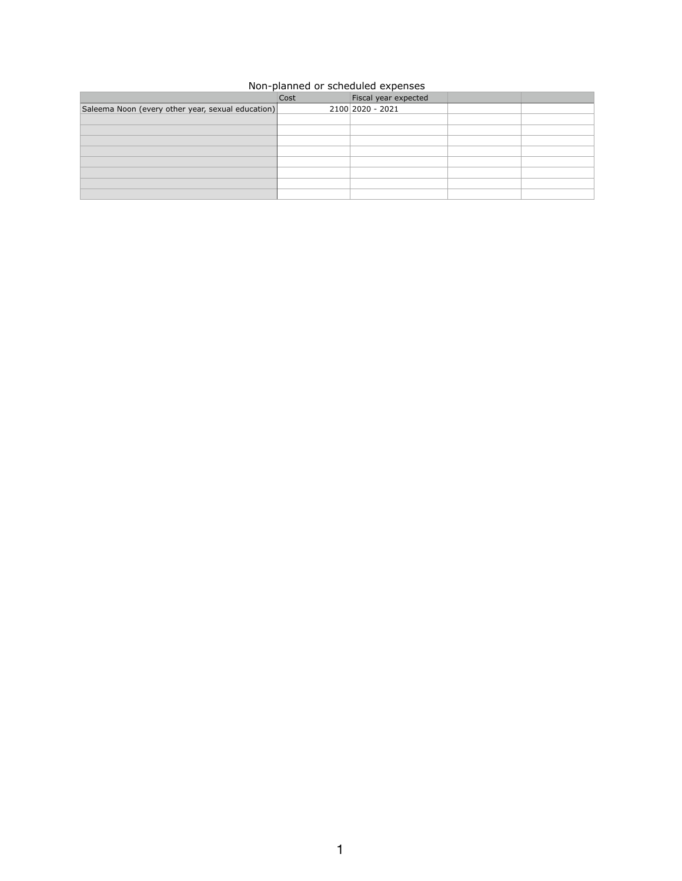## Non-planned or scheduled expenses

|                                                   | Cost | Fiscal year expected |  |
|---------------------------------------------------|------|----------------------|--|
| Saleema Noon (every other year, sexual education) |      | $2100 2020 - 2021$   |  |
|                                                   |      |                      |  |
|                                                   |      |                      |  |
|                                                   |      |                      |  |
|                                                   |      |                      |  |
|                                                   |      |                      |  |
|                                                   |      |                      |  |
|                                                   |      |                      |  |
|                                                   |      |                      |  |

 $\mathbf{1}$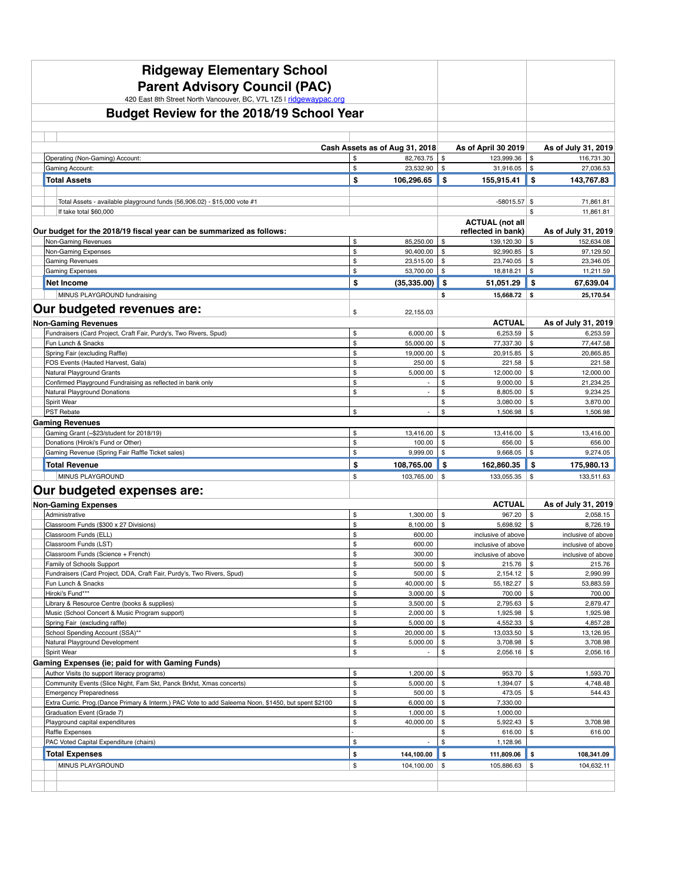| <b>Ridgeway Elementary School</b><br><b>Parent Advisory Council (PAC)</b><br>420 East 8th Street North Vancouver, BC, V7L 1Z5 I ridgewaypac.org |                                    |                                 |                                              |                            |                                |
|-------------------------------------------------------------------------------------------------------------------------------------------------|------------------------------------|---------------------------------|----------------------------------------------|----------------------------|--------------------------------|
| <b>Budget Review for the 2018/19 School Year</b>                                                                                                |                                    |                                 |                                              |                            |                                |
|                                                                                                                                                 |                                    |                                 |                                              |                            |                                |
|                                                                                                                                                 |                                    |                                 |                                              |                            |                                |
|                                                                                                                                                 | Cash Assets as of Aug 31, 2018     |                                 | As of April 30 2019                          |                            | As of July 31, 2019            |
| Operating (Non-Gaming) Account:<br>Gaming Account:                                                                                              | 82,763.75<br>\$<br>\$<br>23,532.90 | \$<br>\$                        | 123,999.36<br>$31,916.05$   \$               | \$                         | 116,731.30<br>27,036.53        |
| <b>Total Assets</b>                                                                                                                             | \$<br>106,296.65                   | \$                              | 155,915.41                                   | -\$                        | 143,767.83                     |
|                                                                                                                                                 |                                    |                                 |                                              |                            |                                |
| Total Assets - available playground funds (56,906.02) - \$15,000 vote #1                                                                        |                                    |                                 | $-58015.57$ \$                               |                            | 71,861.81                      |
| If take total \$60,000                                                                                                                          |                                    |                                 |                                              | \$                         | 11,861.81                      |
| Our budget for the 2018/19 fiscal year can be summarized as follows:                                                                            |                                    |                                 | <b>ACTUAL (not all</b><br>reflected in bank) |                            | As of July 31, 2019            |
| Non-Gaming Revenues                                                                                                                             | 85,250.00<br>\$                    | \$                              | 139,120.30                                   | \$                         | 152,634.08                     |
| Non-Gaming Expenses                                                                                                                             | \$<br>90,400.00                    | \$                              | 92,990.85                                    | \$                         | 97,129.50                      |
| <b>Gaming Revenues</b>                                                                                                                          | \$<br>23,515.00                    | \$                              | 23,740.05                                    | \$                         | 23,346.05                      |
| <b>Gaming Expenses</b>                                                                                                                          | \$<br>53,700.00                    | \$                              | 18,818.21                                    | \$                         | 11,211.59                      |
| Net Income                                                                                                                                      | (35, 335.00)<br>\$                 | $\boldsymbol{\mathsf{s}}$       | 51,051.29                                    | \$                         | 67,639.04                      |
| MINUS PLAYGROUND fundraising                                                                                                                    |                                    | \$                              | $15,668.72$ \$                               |                            | 25,170.54                      |
| Our budgeted revenues are:                                                                                                                      | \$<br>22,155.03                    |                                 |                                              |                            |                                |
| <b>Non-Gaming Revenues</b>                                                                                                                      |                                    |                                 | <b>ACTUAL</b>                                |                            | As of July 31, 2019            |
| Fundraisers (Card Project, Craft Fair, Purdy's, Two Rivers, Spud)                                                                               | 6,000.00<br>\$                     | \$                              | 6,253.59                                     | \$                         | 6,253.59                       |
| Fun Lunch & Snacks<br>Spring Fair (excluding Raffle)                                                                                            | \$<br>55,000.00<br>\$<br>19,000.00 | \$<br>\$                        | 77,337.30<br>20,915.85                       | \$<br>\$                   | 77,447.58<br>20,865.85         |
| FOS Events (Hauted Harvest, Gala)                                                                                                               | \$<br>250.00                       | \$                              | 221.58                                       | \$                         | 221.58                         |
| Natural Playground Grants                                                                                                                       | \$<br>5,000.00                     | \$                              | 12,000.00                                    | $\boldsymbol{\mathsf{\$}}$ | 12,000.00                      |
| Confirmed Playground Fundraising as reflected in bank only                                                                                      | \$                                 |                                 | 9,000.00                                     | \$                         | 21,234.25                      |
| <b>Natural Playground Donations</b>                                                                                                             | \$                                 | \$                              | 8,805.00                                     | \$                         | 9,234.25                       |
| Spirit Wear<br><b>PST Rebate</b>                                                                                                                | \$                                 | \$<br>$\boldsymbol{\mathsf{S}}$ | 3,080.00<br>1,506.98                         | \$<br>\$                   | 3,870.00<br>1,506.98           |
| <b>Gaming Revenues</b>                                                                                                                          |                                    |                                 |                                              |                            |                                |
| Gaming Grant (~\$23/student for 2018/19)                                                                                                        | \$<br>13,416.00                    | \$                              | 13,416.00                                    | \$                         | 13,416.00                      |
| Donations (Hiroki's Fund or Other)                                                                                                              | \$<br>100.00                       | $\frac{1}{2}$                   | 656.00                                       | \$                         | 656.00                         |
| Gaming Revenue (Spring Fair Raffle Ticket sales)                                                                                                | \$<br>9,999.00                     | \$                              | 9,668.05                                     | \$                         | 9,274.05                       |
| <b>Total Revenue</b>                                                                                                                            | \$<br>108,765.00                   | \$                              | 162,860.35                                   | \$                         | 175,980.13                     |
| MINUS PLAYGROUND                                                                                                                                | \$<br>103,765.00                   | \$                              | 133,055.35                                   | \$                         | 133,511.63                     |
| Our budgeted expenses are:                                                                                                                      |                                    |                                 |                                              |                            |                                |
| <b>Non-Gaming Expenses</b>                                                                                                                      |                                    |                                 | <b>ACTUAL</b>                                |                            | As of July 31, 2019            |
| Administrative                                                                                                                                  | \$<br>1,300.00                     | \$                              | 967.20                                       | \$                         | 2,058.15                       |
| Classroom Funds (\$300 x 27 Divisions)<br>Classroom Funds (ELL)                                                                                 | \$<br>8,100.00<br>\$<br>600.00     | \$                              | 5,698.92<br>inclusive of above               | \$                         | 8,726.19<br>inclusive of above |
| Classroom Funds (LST)                                                                                                                           | \$<br>600.00                       |                                 | inclusive of above                           |                            | inclusive of above             |
| Classroom Funds (Science + French)                                                                                                              | \$<br>300.00                       |                                 | inclusive of above                           |                            | inclusive of above             |
| Family of Schools Support                                                                                                                       | \$<br>500.00                       | \$                              | 215.76                                       | \$                         | 215.76                         |
| Fundraisers (Card Project, DDA, Craft Fair, Purdy's, Two Rivers, Spud)                                                                          | \$<br>500.00                       |                                 | 2,154.12                                     | \$                         | 2,990.99                       |
| Fun Lunch & Snacks<br>Hiroki's Fund***                                                                                                          | \$<br>40,000.00<br>\$<br>3,000.00  | \$<br>\$                        | 55,182.27<br>700.00                          | \$<br>\$                   | 53,883.59<br>700.00            |
| Library & Resource Centre (books & supplies)                                                                                                    | \$<br>3,500.00                     | \$                              | 2,795.63                                     | \$                         | 2,879.47                       |
| Music (School Concert & Music Program support)                                                                                                  | \$<br>2,000.00                     | \$                              | 1,925.98                                     | \$                         | 1,925.98                       |
| Spring Fair (excluding raffle)                                                                                                                  | \$<br>5,000.00                     | \$                              | 4,552.33                                     | \$                         | 4,857.28                       |
| School Spending Account (SSA)**                                                                                                                 | \$<br>20,000.00                    | \$                              | 13,033.50                                    | \$<br>\$                   | 13,126.95                      |
| Natural Playground Development<br>Spirit Wear                                                                                                   | \$<br>5,000.00<br>\$               | \$<br>\$                        | 3,708.98<br>2,056.16                         | \$                         | 3,708.98<br>2,056.16           |
| <b>Gaming Expenses (ie; paid for with Gaming Funds)</b>                                                                                         |                                    |                                 |                                              |                            |                                |
| Author Visits (to support literacy programs)                                                                                                    | \$<br>1,200.00                     | \$                              | 953.70                                       | \$                         | 1,593.70                       |
| Community Events (Slice Night, Fam Skt, Panck Brkfst, Xmas concerts)                                                                            | \$<br>5,000.00                     | $\frac{1}{2}$                   | 1,394.07                                     | $\frac{1}{2}$              | 4,748.48                       |
| <b>Emergency Preparedness</b><br>Extra Curric. Prog.(Dance Primary & Interm.) PAC Vote to add Saleema Noon, \$1450, but spent \$2100            | \$<br>500.00<br>\$<br>6,000.00     | $\,$<br>\$                      | 473.05<br>7,330.00                           | \$                         | 544.43                         |
| Graduation Event (Grade 7)                                                                                                                      | \$<br>1,000.00                     | \$                              | 1,000.00                                     |                            |                                |
| Playground capital expenditures                                                                                                                 | \$<br>40,000.00                    | \$                              | 5,922.43                                     | \$                         | 3,708.98                       |
| Raffle Expenses                                                                                                                                 |                                    | \$                              | 616.00                                       | \$                         | 616.00                         |
| PAC Voted Capital Expenditure (chairs)                                                                                                          | \$                                 | \$                              | 1,128.96                                     |                            |                                |
| <b>Total Expenses</b>                                                                                                                           | 144,100.00<br>\$                   | \$                              | 111,809.06                                   | \$                         | 108,341.09                     |
| MINUS PLAYGROUND                                                                                                                                | \$<br>104,100.00                   | \$                              | $105,886.63$ \\$                             |                            | 104,632.11                     |
|                                                                                                                                                 |                                    |                                 |                                              |                            |                                |